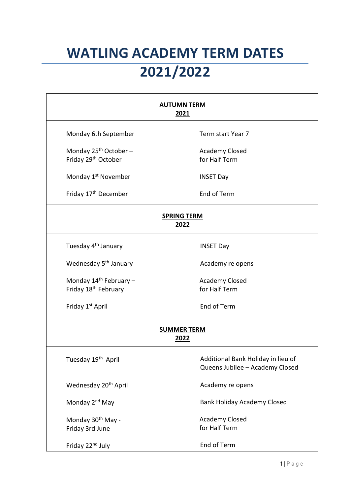## **WATLING ACADEMY TERM DATES 2021/2022**

| <b>AUTUMN TERM</b><br>2021                                             |                                                                       |  |
|------------------------------------------------------------------------|-----------------------------------------------------------------------|--|
| Monday 6th September                                                   | Term start Year 7                                                     |  |
| Monday $25^{th}$ October -<br>Friday 29th October                      | <b>Academy Closed</b><br>for Half Term                                |  |
| Monday 1 <sup>st</sup> November                                        | <b>INSET Day</b>                                                      |  |
| Friday 17th December                                                   | End of Term                                                           |  |
| <b>SPRING TERM</b><br>2022                                             |                                                                       |  |
| Tuesday 4 <sup>th</sup> January                                        | <b>INSET Day</b>                                                      |  |
| Wednesday 5 <sup>th</sup> January                                      | Academy re opens                                                      |  |
| Monday 14 <sup>th</sup> February -<br>Friday 18 <sup>th</sup> February | <b>Academy Closed</b><br>for Half Term                                |  |
| Friday 1 <sup>st</sup> April                                           | End of Term                                                           |  |
| <b>SUMMER TERM</b><br>2022                                             |                                                                       |  |
| Tuesday 19 <sup>th</sup> April                                         | Additional Bank Holiday in lieu of<br>Queens Jubilee - Academy Closed |  |
| Wednesday 20 <sup>th</sup> April                                       | Academy re opens                                                      |  |
| Monday 2 <sup>nd</sup> May                                             | <b>Bank Holiday Academy Closed</b>                                    |  |
| Monday 30 <sup>th</sup> May -<br>Friday 3rd June                       | <b>Academy Closed</b><br>for Half Term                                |  |
| Friday 22nd July                                                       | End of Term                                                           |  |